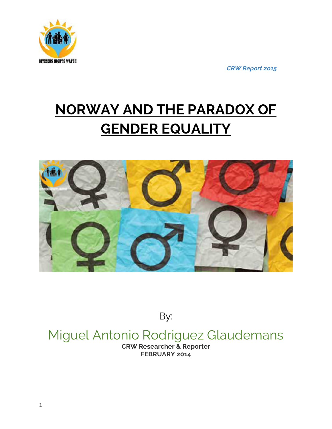

# **NORWAY AND THE PARADOX OF GENDER EQUALITY**



By:

Miguel Antonio Rodriguez Glaudemans

**CRW Researcher & Reporter FEBRUARY 2014**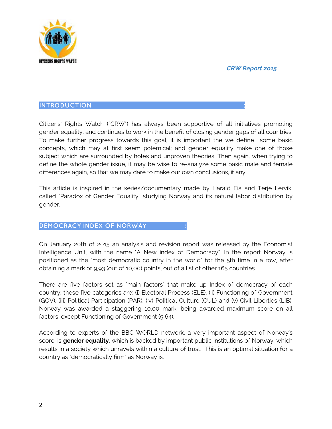

## **INTRODUCTION :**

Citizens' Rights Watch ("CRW") has always been supportive of all initiatives promoting gender equality, and continues to work in the benefit of closing gender gaps of all countries. To make further progress towards this goal, it is important the we define some basic concepts, which may at first seem polemical; and gender equality make one of those subject which are surrounded by holes and unproven theories. Then again, when trying to define the whole gender issue, it may be wise to re-analyze some basic male and female differences again, so that we may dare to make our own conclusions, if any.

This article is inspired in the series/documentary made by Harald Eia and Terje Lervik, called "Paradox of Gender Equality" studying Norway and its natural labor distribution by gender.

#### **DEMOCRACY INDEX OF NORWAY :**

On January 20th of 2015 an analysis and revision report was released by the Economist Intelligence Unit, with the name "A New index of Democracy". In the report Norway is positioned as the "most democratic country in the world" for the 5th time in a row, after obtaining a mark of 9,93 (out of 10,00) points, out of a list of other 165 countries.

There are five factors set as "main factors" that make up Index of democracy of each country; these five categories are: (i) Electoral Process (ELE), (ii) Functioning of Government (GOV), (iii) Political Participation (PAR), (iv) Political Culture (CUL) and (v) Civil Liberties (LIB). Norway was awarded a staggering 10,00 mark, being awarded maximum score on all factors, except Functioning of Government (9,64).

According to experts of the BBC WORLD network, a very important aspect of Norway's score, is **gender equality**, which is backed by important public institutions of Norway, which results in a society which unravels within a culture of trust. This is an optimal situation for a country as "democratically firm" as Norway is.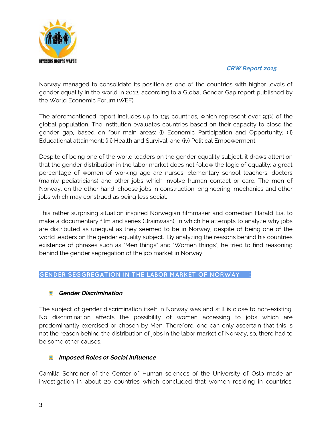

Norway managed to consolidate its position as one of the countries with higher levels of gender equality in the world in 2012, according to a Global Gender Gap report published by the World Economic Forum (WEF).

The aforementioned report includes up to 135 countries, which represent over 93% of the global population. The institution evaluates countries based on their capacity to close the gender gap, based on four main areas: (i) Economic Participation and Opportunity; (ii) Educational attainment; (iii) Health and Survival; and (iv) Political Empowerment.

Despite of being one of the world leaders on the gender equality subject, it draws attention that the gender distribution in the labor market does not follow the logic of equality; a great percentage of women of working age are nurses, elementary school teachers, doctors (mainly pediatricians) and other jobs which involve human contact or care. The men of Norway, on the other hand, choose jobs in construction, engineering, mechanics and other jobs which may construed as being less social.

This rather surprising situation inspired Norwegian filmmaker and comedian Harald Eia, to make a documentary film and series (Brainwash), in which he attempts to analyze why jobs are distributed as unequal as they seemed to be in Norway, despite of being one of the world leaders on the gender equality subject. By analyzing the reasons behind his countries existence of phrases such as "Men things" and "Women things", he tried to find reasoning behind the gender segregation of the job market in Norway.

# **GENDER SEGGREGATION IN THE LABOR MARKET OF NORWAY :**

## **Gender Discrimination**

The subject of gender discrimination itself in Norway was and still is close to non-existing. No discrimination affects the possibility of women accessing to jobs which are predominantly exercised or chosen by Men. Therefore, one can only ascertain that this is not the reason behind the distribution of jobs in the labor market of Norway, so, there had to be some other causes.

## **Imposed Roles or Social influence**

Camilla Schreiner of the Center of Human sciences of the University of Oslo made an investigation in about 20 countries which concluded that women residing in countries,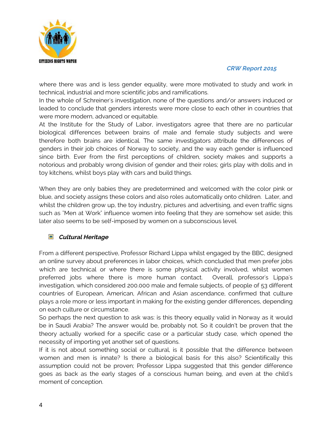

where there was and is less gender equality, were more motivated to study and work in technical, industrial and more scientific jobs and ramifications.

In the whole of Schreiner's investigation, none of the questions and/or answers induced or leaded to conclude that genders interests were more close to each other in countries that were more modern, advanced or equitable.

At the Institute for the Study of Labor, investigators agree that there are no particular biological differences between brains of male and female study subjects and were therefore both brains are identical. The same investigators attribute the differences of genders in their job choices of Norway to society, and the way each gender is influenced since birth. Ever from the first perceptions of children, society makes and supports a notorious and probably wrong division of gender and their roles; girls play with dolls and in toy kitchens, whilst boys play with cars and build things.

When they are only babies they are predetermined and welcomed with the color pink or blue, and society assigns these colors and also roles automatically onto children. Later, and whilst the children grow up, the toy industry, pictures and advertising, and even traffic signs such as "Men at Work" influence women into feeling that they are somehow set aside; this later also seems to be self-imposed by women on a subconscious level.

# **E** Cultural Heritage

From a different perspective, Professor Richard Lippa whilst engaged by the BBC, designed an online survey about preferences in labor choices, which concluded that men prefer jobs which are technical or where there is some physical activity involved, whilst women preferred jobs where there is more human contact. Overall, professor's Lippa's investigation, which considered 200.000 male and female subjects, of people of 53 different countries of European, American, African and Asian ascendance, confirmed that culture plays a role more or less important in making for the existing gender differences, depending on each culture or circumstance.

So perhaps the next question to ask was: is this theory equally valid in Norway as it would be in Saudi Arabia? The answer would be, probably not. So it couldn't be proven that the theory actually worked for a specific case or a particular study case, which opened the necessity of importing yet another set of questions.

If it is not about something social or cultural, is it possible that the difference between women and men is innate? Is there a biological basis for this also? Scientifically this assumption could not be proven; Professor Lippa suggested that this gender difference goes as back as the early stages of a conscious human being, and even at the child's moment of conception.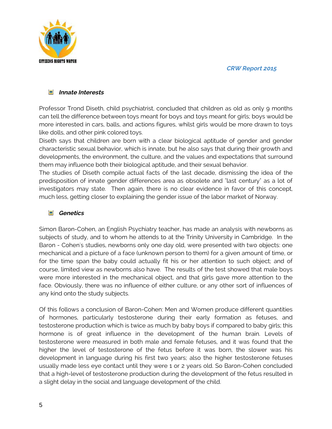

#### *<u>Unnate</u>* **Interests**

Professor Trond Diseth, child psychiatrist, concluded that children as old as only 9 months can tell the difference between toys meant for boys and toys meant for girls; boys would be more interested in cars, balls, and actions figures, whilst girls would be more drawn to toys like dolls, and other pink colored toys.

Diseth says that children are born with a clear biological aptitude of gender and gender characteristic sexual behavior, which is innate, but he also says that during their growth and developments, the environment, the culture, and the values and expectations that surround them may influence both their biological aptitude, and their sexual behavior.

The studies of Diseth compile actual facts of the last decade, dismissing the idea of the predisposition of innate gender differences area as obsolete and "last century" as a lot of investigators may state. Then again, there is no clear evidence in favor of this concept, much less, getting closer to explaining the gender issue of the labor market of Norway.

## **Genetics**

Simon Baron-Cohen, an English Psychiatry teacher, has made an analysis with newborns as subjects of study, and to whom he attends to at the Trinity University in Cambridge. In the Baron - Cohen's studies, newborns only one day old, were presented with two objects: one mechanical and a picture of a face (unknown person to them) for a given amount of time, or for the time span the baby could actually fit his or her attention to such object; and of course, limited view as newborns also have. The results of the test showed that male boys were more interested in the mechanical object, and that girls gave more attention to the face. Obviously, there was no influence of either culture, or any other sort of influences of any kind onto the study subjects.

Of this follows a conclusion of Baron-Cohen: Men and Women produce different quantities of hormones, particularly testosterone during their early formation as fetuses, and testosterone production which is twice as much by baby boys if compared to baby girls; this hormone is of great influence in the development of the human brain. Levels of testosterone were measured in both male and female fetuses, and it was found that the higher the level of testosterone of the fetus before it was born, the slower was his development in language during his first two years; also the higher testosterone fetuses usually made less eye contact until they were 1 or 2 years old. So Baron-Cohen concluded that a high-level of testosterone production during the development of the fetus resulted in a slight delay in the social and language development of the child.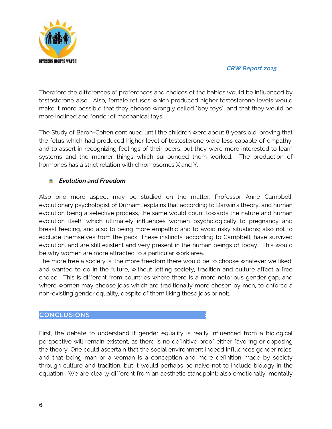

Therefore the differences of preferences and choices of the babies would be influenced by testosterone also. Also, female fetuses which produced higher testosterone levels would make it more possible that they choose wrongly called "boy toys", and that they would be more inclined and fonder of mechanical toys.

The Study of Baron-Cohen continued until the children were about 8 years old, proving that the fetus which had produced higher level of testosterone were less capable of empathy, and to assert in recognizing feelings of their peers, but they were more interested to learn systems and the manner things which surrounded them worked. The production of hormones has a strict relation with chromosomes X and Y.

## **Evolution and Freedom**

Also one more aspect may be studied on the matter. Professor Anne Campbell, evolutionary psychologist of Durham, explains that according to Darwin's theory, and human evolution being a selective process, the same would count towards the nature and human evolution itself, which ultimately influences women psychologically to pregnancy and breast feeding, and also to being more empathic and to avoid risky situations; also not to exclude themselves from the pack. These instincts, according to Campbell, have survived evolution, and are still existent and very present in the human beings of today. This would be why women are more attracted to a particular work area.

The more free a society is, the more freedom there would be to choose whatever we liked, and wanted to do in the future, without letting society, tradition and culture affect a free choice. This is different from countries where there is a more notorious gender gap, and where women may choose jobs which are traditionally more chosen by men, to enforce a non-existing gender equality, despite of them liking these jobs or not;.

## **CONCLUSIONS :**

First, the debate to understand if gender equality is really influenced from a biological perspective will remain existent, as there is no definitive proof either favoring or opposing the theory. One could ascertain that the social environment indeed influences gender roles, and that being man or a woman is a conception and mere definition made by society through culture and tradition, but it would perhaps be naive not to include biology in the equation. We are clearly different from an aesthetic standpoint; also emotionally, mentally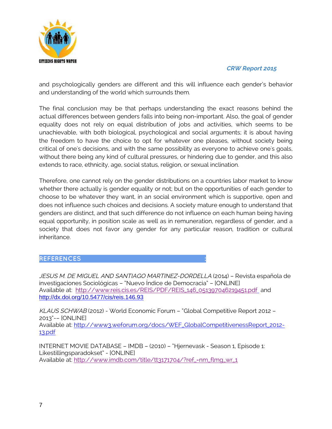

and psychologically genders are different and this will influence each gender's behavior and understanding of the world which surrounds them.

The final conclusion may be that perhaps understanding the exact reasons behind the actual differences between genders falls into being non-important. Also, the goal of gender equality does not rely on equal distribution of jobs and activities, which seems to be unachievable, with both biological, psychological and social arguments; it is about having the freedom to have the choice to opt for whatever one pleases, without society being critical of one's decisions, and with the same possibility as everyone to achieve one's goals, without there being any kind of cultural pressures, or hindering due to gender, and this also extends to race, ethnicity, age, social status, religion, or sexual inclination.

Therefore, one cannot rely on the gender distributions on a countries labor market to know whether there actually is gender equality or not; but on the opportunities of each gender to choose to be whatever they want, in an social environment which is supportive, open and does not influence such choices and decisions. A society mature enough to understand that genders are distinct, and that such difference do not influence on each human being having equal opportunity, in position scale as well as in remuneration, regardless of gender, and a society that does not favor any gender for any particular reason, tradition or cultural inheritance.

# **REFERENCES :**

JESUS M. DE MIGUEL AND SANTIAGO MARTINEZ-DORDELLA (2014) – Revista española de investigaciones Sociológicas – "Nuevo Índice de Democracia" – [ONLINE] Available at: [http://www.reis.cis.es/REIS/PDF/REIS\\_146\\_051397046219451.pdf](http://www.reis.cis.es/REIS/PDF/REIS_146_051397046219451.pdf) and <http://dx.doi.org/10.5477/cis/reis.146.93>

KLAUS SCHWAB (2012) - World Economic Forum – "Global Competitive Report 2012 – 2013"-– [ONLINE] Available at: [http://www3.weforum.org/docs/WEF\\_GlobalCompetitivenessReport\\_2012-](http://www3.weforum.org/docs/WEF_GlobalCompetitivenessReport_2012-13.pdf) [13.pdf](http://www3.weforum.org/docs/WEF_GlobalCompetitivenessReport_2012-13.pdf)

INTERNET MOVIE DATABASE – IMDB – (2010) – "Hjernevask - Season 1, Episode 1: Likestillingsparadokset" - [ONLINE] Available at: [http://www.imdb.com/title/tt3171704/?ref\\_=nm\\_flmg\\_wr\\_1](http://www.imdb.com/title/tt3171704/?ref_=nm_flmg_wr_1)